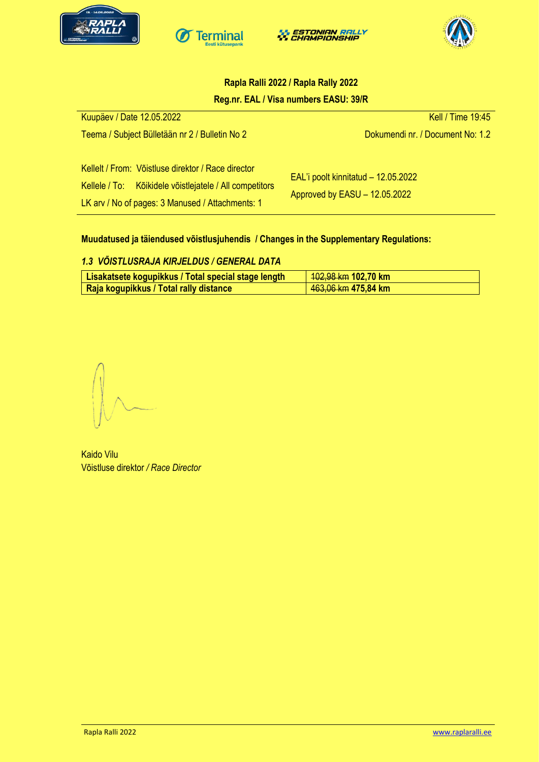







## **Rapla Ralli 2022 / Rapla Rally 2022 Reg.nr. EAL / Visa numbers EASU: 39/R**

| Kuupäev / Date 12.05.2022                                                                                                                                         | Kell / Time 19:45                                                    |
|-------------------------------------------------------------------------------------------------------------------------------------------------------------------|----------------------------------------------------------------------|
| Teema / Subject Bülletään nr 2 / Bulletin No 2                                                                                                                    | Dokumendi nr. / Document No: 1.2                                     |
| Kellelt / From: Võistluse direktor / Race director<br>Kellele / To: Kõikidele võistlejatele / All competitors<br>LK arv / No of pages: 3 Manused / Attachments: 1 | EAL'i poolt kinnitatud - 12.05.2022<br>Approved by EASU - 12.05.2022 |

## **Muudatused ja täiendused võistlusjuhendis / Changes in the Supplementary Regulations:**

## *1.3 VÕISTLUSRAJA KIRJELDUS / GENERAL DATA*

| │ Lisakatsete kogupikkus / Total special stage length ॑ | <u>  102,98 km</u> 102,70 km    |
|---------------------------------------------------------|---------------------------------|
| Raja kogupikkus / Total rally distance                  | 4 <del>63,06 km</del> 475,84 km |

Kaido Vilu Võistluse direktor */ Race Director*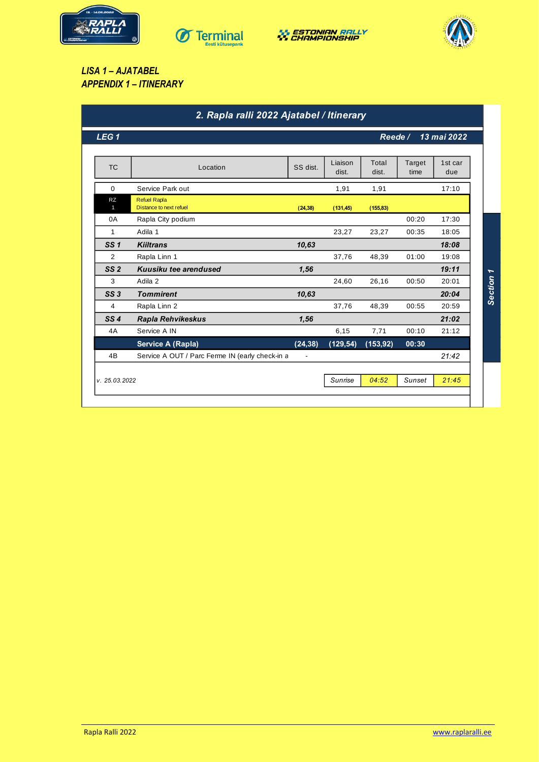







*LISA 1 – AJATABEL APPENDIX 1 – ITINERARY*

| LEG <sub>1</sub>          |                                                 |                |                  | 13 mai 2022<br>Reede/ |                |                |  |
|---------------------------|-------------------------------------------------|----------------|------------------|-----------------------|----------------|----------------|--|
| <b>TC</b>                 | Location                                        | SS dist.       | Liaison<br>dist. | Total<br>dist.        | Target<br>time | 1st car<br>due |  |
| $\mathbf 0$               | Service Park out                                |                | 1,91             | 1,91                  |                | 17:10          |  |
| <b>RZ</b><br>$\mathbf{1}$ | <b>Refuel Rapla</b><br>Distance to next refuel  | (24, 38)       | (131, 45)        | (155, 83)             |                |                |  |
| 0A                        | Rapla City podium                               |                |                  |                       | 00:20          | 17:30          |  |
| 1                         | Adila 1                                         |                | 23,27            | 23,27                 | 00:35          | 18:05          |  |
| SS <sub>1</sub>           | <b>Kiiltrans</b>                                | 10,63          |                  |                       |                | 18:08          |  |
| 2                         | Rapla Linn 1                                    |                | 37,76            | 48,39                 | 01:00          | 19:08          |  |
| SS <sub>2</sub>           | Kuusiku tee arendused                           | 1,56           |                  |                       |                | 19:11          |  |
| 3                         | Adila 2                                         |                | 24,60            | 26,16                 | 00:50          | 20:01          |  |
| SS3                       | <b>Tommirent</b>                                | 10,63          |                  |                       |                | 20:04          |  |
| 4                         | Rapla Linn 2                                    |                | 37,76            | 48,39                 | 00:55          | 20:59          |  |
| SS4                       | <b>Rapla Rehvikeskus</b>                        | 1,56           |                  |                       |                | 21:02          |  |
| 4A                        | Service A IN                                    |                | 6,15             | 7,71                  | 00:10          | 21:12          |  |
|                           | Service A (Rapla)                               | (24, 38)       | (129, 54)        | (153, 92)             | 00:30          |                |  |
| 4B                        | Service A OUT / Parc Ferme IN (early check-in a | $\overline{a}$ |                  |                       |                | 21:42          |  |
| v. 25.03.2022             |                                                 |                | Sunrise          | 04:52                 | Sunset         | 21:45          |  |